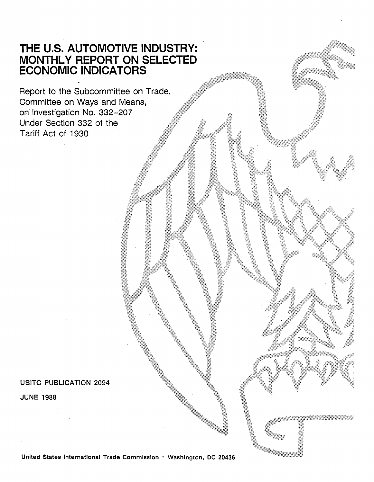# **THE U.S. AUTOMOTIVE INDUSTRY: MONTHLY REPORT ON SELECTED ECONOMIC INDICATORS**

Report to the Subcommittee on Trade, Committee on Ways and Means, on Investigation No. 332-207 Under Section 332 of the Tariff Act of 1930

## USITC PUBLICATION 2094

JUNE 1988

United States International Trade Commission • Washington, DC 20436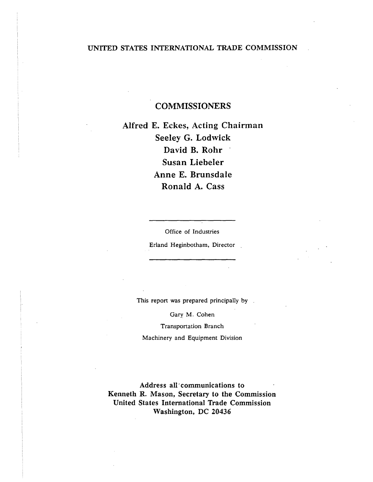## UNITED STATES INTERNATIONAL TRADE COMMISSION

## COMMISSIONERS

Alfred E. Eckes, Acting Chairman Seeley G. Lodwick David B. Rohr Susan Liebeler Anne E. Brunsdale Ronald A. Cass

Office of Industries

Erland Heginbotham, Director

This report was prepared principally by

Gary M. Cohen

Transportation Branch

Machinery and Equipment Division

Address all communications to Kenneth R. Mason, Secretary to the Commission United States International Trade Commission Washington, DC 20436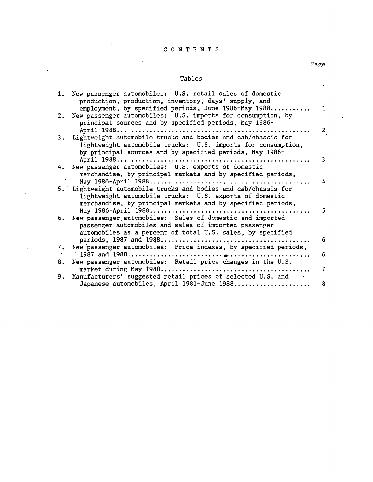## C 0 N T E N T S

 $\sim$ 

l.

 $\mathbf{r}$ 

 $\sim$   $\sim$ 

Ċ,

#### Tables

| 1. | New passenger automobiles: U.S. retail sales of domestic<br>production, production, inventory, days' supply, and<br>employment, by specified periods, June 1986-May 1988                 | $\mathbf 1$ |
|----|------------------------------------------------------------------------------------------------------------------------------------------------------------------------------------------|-------------|
| 2. | New passenger automobiles: U.S. imports for consumption, by<br>principal sources and by specified periods, May 1986-                                                                     |             |
| 3. | Lightweight automobile trucks and bodies and cab/chassis for<br>lightweight automobile trucks: U.S. imports for consumption,<br>by principal sources and by specified periods, May 1986- | 2           |
|    |                                                                                                                                                                                          | 3           |
|    | 4. New passenger automobiles: U.S. exports of domestic<br>merchandise, by principal markets and by specified periods,                                                                    |             |
|    | May 1986-April 1988<br>5. Lightweight automobile trucks and bodies and cab/chassis for                                                                                                   | 4           |
|    | lightweight automobile trucks: U.S. exports of domestic<br>merchandise, by principal markets and by specified periods,                                                                   |             |
|    | 6. New passenger automobiles: Sales of domestic and imported<br>passenger automobiles and sales of imported passenger                                                                    | 5           |
|    | automobiles as a percent of total U.S. sales, by specified                                                                                                                               | 6           |
| 7. | New passenger automobiles: Price indexes, by specified periods,                                                                                                                          |             |
| 8. | New passenger automobiles: Retail price changes in the U.S.                                                                                                                              | 6.          |
|    |                                                                                                                                                                                          | 7           |
| 9. | Manufacturers' suggested retail prices of selected U.S. and<br>Japanese automobiles, April 1981-June 1988                                                                                | 8           |

### Page

 $\ddot{\phantom{1}}$ 

 $\bar{z}$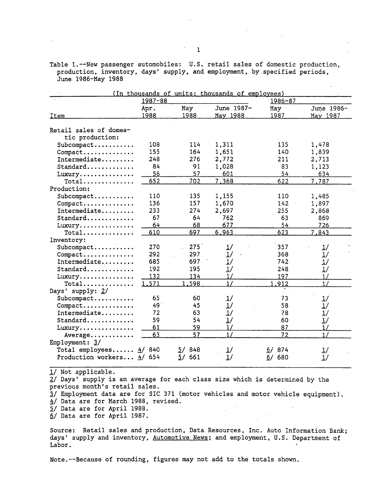Table 1.--New passenger automobiles: U.S. retail sales of domestic production, production, inventory, days' supply, and employment, by.specified periods, June 1986-May 1988

|                              |             |           | (In thousands of units; thousands of employees) |           |            |
|------------------------------|-------------|-----------|-------------------------------------------------|-----------|------------|
|                              | $1987 - 88$ |           |                                                 | 1986-87   |            |
|                              | Apr.        | May       | June 1987-                                      | May       | June 1986- |
| Item                         | 1988        | 1988      | May 1988                                        | 1987      | May 1987   |
| Retail sales of domes-       |             |           |                                                 |           |            |
| tic production:              |             |           |                                                 |           |            |
| Subcompact                   | 108         | 114       | 1,311                                           | 135       | 1,478      |
| Compact                      | 155         | 164       | 1,651                                           | 140       | 1,839      |
| Intermediate                 | 248         | 276       | 2,772                                           | 211       | 2,713      |
| Standard                     | 84          | 91        | 1,028                                           | 83        | 1,123      |
| Luxury                       | 56          | 57        | 601                                             | 54        | 634        |
| $Total$                      | 652         | 702       | 7,368                                           | 622       | 7.787      |
| Production:                  |             |           |                                                 |           |            |
| Subcompact                   | 110         | 135       | 1,155                                           | 110       | 1,485      |
| Compact                      | 136         | 157       | 1,670                                           | 142       | 1,897      |
| Intermediate                 | 233         | 274       | 2,697                                           | 255       | 2,868      |
| Standard                     | 67          | 64        | 762                                             | 63        | 869        |
| Luxury                       | 64          | 68        | 677                                             | 54        | 726        |
| $Total \ldots \ldots \ldots$ | 610         | 697       | 6,963                                           | 623       | 7,843      |
| Inventory:                   |             |           |                                                 |           |            |
| Subcompact                   | 270         | 275       | 1/                                              | 357       | 1/         |
| Compact                      | 292         | 297       | 1/                                              | 368       | 1/         |
| Intermediate                 | 685         | 697       | 1/                                              | 742       | 1/         |
| Standard                     | 192         | 195       | 1/                                              | 248       | 1/         |
| Luxury                       | 132         | 134       | 1/                                              | 197       | 1/         |
| $Total$                      | 1.571       | 1,598     | 1/                                              | 1.912     | 1/         |
| Days' supply: 2/             |             |           |                                                 |           |            |
| Subcompact                   | 65          | 60        | 1/                                              | 73        | 1/         |
| Compact                      | 49          | 45        | 1/                                              | 58        | 1/         |
| Intermediate                 | 72          | 63        | 1/                                              | 78        | 1/         |
| Standard                     | 59          | 54        | 1/                                              | 60        | 1/         |
| Luxury                       | 61          | 59        | 1/                                              | 87        | 1/         |
| Average                      | 63          | 57        | 1/                                              | 72        | 1/         |
| Employment: $3/$             |             |           |                                                 |           |            |
| Total employees              | 840<br>4/   | 848<br>57 | 1/                                              | 874<br>67 | 1/         |
|                              |             |           |                                                 |           |            |

*11* Not applicable.

*2.1* Days' supply is an average for each class size which is determined by the previous month's retail sales.

1/ Employment data are for SIC 371 (motor vehicles and motor vehicle equipment). 4/ Data are for March 1988, revised.

2/ Data are for April 1988.

§/Data are for April 1987.

Source: Retail sales and production, Data Resources, Inc. Auto Information Bank; days' supply and inventory, Automotive News; and employment, U.S. Department of Labor.

Note.--Because of rounding, figures may not add to the totals shown.

1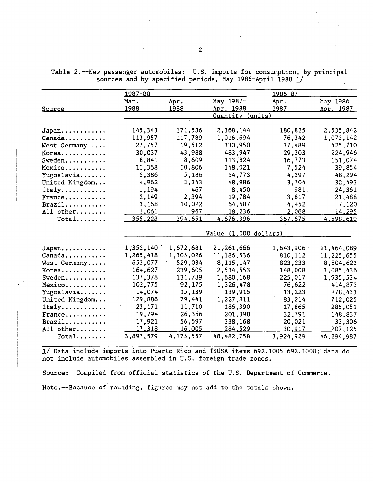Source **Japan .** .......... . **Canada .** ...•..••.. West Germany..... **Korea .** .......... . Sweden.......... **Mexico .** ......... . Yugoslavia....... United Kingdom... **Italy .** .......... . **France .** ......... . Brazil.......... All other........  $Total$ ....... **Japan .... -....... .**  Canada.......... West Germany..... **Korea •** ......•.... **Sweden .** ......... . **Mexico .** ......... . Yugoslavia....... United Kingdom... **Italy .** ........... . **France .** ......... . Brazil.......... All other....... **Total .** ...... . 1987-88 Mar. 1988 145,343 113. 957 27,757 30,037 8,841 11, 368 5,386 4, 962 1,194 2,149 3,168 <u>1,061</u> 355.223 1,352,140. 1,265-,418 653. 077 164,627 137,378 102, 775 14,074 129,886 23, 171 19,794 17,921 17,318 3,897,579 Apr •. 1988 171,586 117,789 19,512 43,988 8,609 10,806 5,186 3,343 467 2,394 10,022 967 394.651 1,672,681 1,305,026 529,034 239,605 131,789 92,175 15,139 79,441 11, 710 26,356 56,597 16.005 4,175,557 May 1987- Apr. 1988 <u> Quantity (units)</u> 2,368,144 1,016,694 330,950 483,947 113,824 148,021 54,773 48,986 8,450 19,784 64,587 18,236 4.676.396 1986-87 Apr. 1987 180,825 76,342 37,489 29,303 16,773 7,524 4,397 3,704 981. 3,817 4,452 2 068 367.675 Value (1.000 dollars) 21,261,666 11,186,536 8,115,147 2,534,553 1,680,168 1,326,478 139,915 1,227,811 186,390 201,398 338,168 <u>284.529</u> 48,482,758  $-1,643,906$ 810,112" 823,233 148,008 225,017 76,622 13,223 83,214 17,865 32,791 20,021 30.917 3,924,929 May 1986- <u>Apr. 1987</u> 2,535,842 1,073,142 425,710 224,946 151,074 39,854 48,294 32,493 24,361 21,488 7,120 14 295 4.598.619 21,464,089 11,225,655 8,504,623 1,085,436 1,935,534 414,873 278,433 712,025 285,051 148,837 33,306 207.125 46,294,987

Table 2.--New passenger automobiles: U.S. imports for consumption, by principal sources and by specified periods, May 1986-April 1988 1/

1/ Data include imports into Puerto Rico and TSUSA items 692.1005-692.1008; data do not include automobiles assembled in U.S. foreign trade zones.

Source: Compiled from official statistics of the U.S. Department of Commerce. Note.--Because of rounding, figures may not add to the totals shown.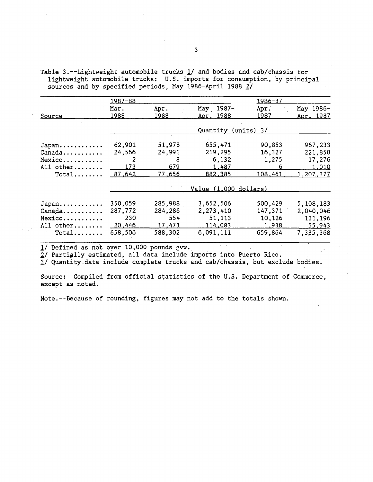Table 3.--Lightweight automobile trucks  $1/$  and bodies and cab/chassis for lightweight automobile trucks: U.S. imports for consumption, by principal sources and by specified periods, May 1986-April 1988  $2/$ 

|                               | <u> 1987-88</u> |              |                         | 1986-87      |                        |
|-------------------------------|-----------------|--------------|-------------------------|--------------|------------------------|
| Source                        | Mar.<br>1988    | Apr.<br>1988 | May 1987-<br>Apr. 1988  | Apr.<br>1987 | May 1986-<br>Apr. 1987 |
|                               |                 |              |                         |              |                        |
|                               |                 |              | <u> Quantity</u>        | $(units)$ 3/ |                        |
| Japan                         | 62,901          | 31,978       | 655,471                 | 90,853       | 967,233                |
| Canada                        | 24,566          | 24,991       | 219,295                 | 16,327       | 221,858                |
| Mexico                        | 2               | 8            | 6,132                   | 1,275        | 17,276                 |
| All other                     | 173             | 679          | 1,487                   | 6            | 1,010                  |
| $Total$                       | 87,642          | 77,656       | 882,385                 | 108,461      | 1,207,37 <u>7</u>      |
|                               |                 |              | Value $(1,000$ dollars) |              |                        |
| Japan                         | 350,059         | 285,988      | 3,652,506               | 500,429      | 5,108,183              |
| $Canada \ldots \ldots \ldots$ | 287,772         | 284,286      | 2,273,410               | 147,371      | 2,040,046              |
| Mexico                        | 230             | 554          | 51,113                  | 10,126       | 131,196                |
| All other                     | 20,446          | 17,473       | 114,083                 | 1,938        | 55,943                 |
| $Total \ldots$                | 658,506         | 588,302      | 6,091,111               | 659,864      | 7,335,368              |

1/ Defined as not over 10,000 pounds gvw.

2/ Partially estimated, all data include imports into Puerto Rico.

l/ Quantity.data include complete trucks and cab/chassis, but exclude bodies.

Source: Compiled from official statistics of the U.S. Department of Commerce, except as noted.

Note.--Because of rounding, figures may not add to the totals shown.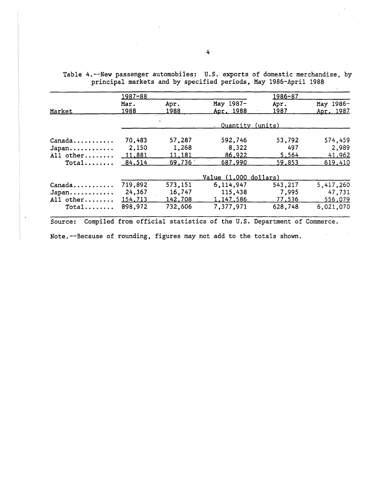Table 4.--New passenger automobiles: U.S. exports of domestic merchandise, by principal markets and by specified periods, May 1986-April 1988

|                 | 1987-88 |         |                       | 1986-87 |           |
|-----------------|---------|---------|-----------------------|---------|-----------|
|                 | Mar.    | Apr.    | May 1987-             | Apr.    | May 1986- |
| Market          | 1988    | 1988    | Apr. 1988             | 1987    | Apr. 1987 |
|                 |         |         | Quantity (units)      |         |           |
| $Canada \ldots$ | 70,483  | 57,287  | 592,746               | 53,792  | 574,459   |
| Japan           | 2,150   | 1,268   | 8,322                 | 497     | 2,989     |
| All other       | 11,881  | 11,181  | 86,922                | 5,564   | 41,962    |
| $Total$         | 84,514  | 69.736  | 687,990               | 59,853  | 619,410   |
|                 |         |         | Value (1.000 dollars) |         |           |
| Canada          | 719,892 | 573,151 | 6,114,947             | 543,217 | 5,417,260 |
| Japan           | 24,367  | 16,747  | 115,438               | 7,995   | 47,731    |
| All other       | 154,713 | 142,708 | 1,147,586             | 77,536  | 556,079   |
| $Total$         | 898,972 | 732,606 | 7,377,971             | 628,748 | 6,021,070 |

Note.--Because of rounding, figures may not add to the totals shown.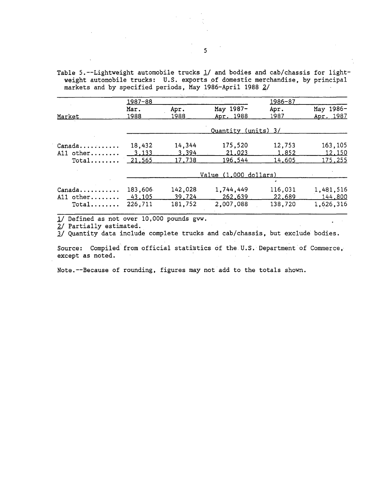Table 5.--Lightweight automobile trucks 1/ and bodies and cab/chassis for lightweight automobile trucks: U.S. exports of domestic merchandise, by principal markets and by specified periods, May 1986-April 1988 2/

|                  | $1987 - 88$  |              |                         | 1986-87      |                        |
|------------------|--------------|--------------|-------------------------|--------------|------------------------|
| Market           | Mar.<br>1988 | Apr.<br>1988 | May 1987-<br>Apr. 1988  | Apr.<br>1987 | May 1986-<br>Apr. 1987 |
|                  |              |              |                         |              |                        |
|                  |              |              | Quantity (units) 3/     |              |                        |
| Canada           | 18,432       | 14,344       | 175,520                 | 12,753       | 163,105                |
| All other        | 3,133        | 3,394        | 21,023                  | 1,852        | 12,150                 |
| Total $21,565$   |              | 17,738       | 196,544                 | 14,605       | 175,255                |
|                  |              |              | Value $(1,000$ dollars) |              |                        |
|                  |              |              |                         |              |                        |
| $Canada \ldots $ | 183,606      | 142,028      | 1,744,449               | 116,031      | 1,481,516              |
| All other        | 43,105       | 39,724       | 262,639                 | 22,689       | 144,800                |
| $Total$          | 226.711      | 181,752      | 2,007,088               | 138,720      | 1,626,316              |

1/ Defined as not over 10,000 pounds gvw.

*21* Partially estimated.

J./ Quantity data include complete trucks and cab/chassis, but exclude bodies.

Source: Compiled from official statistics of the U.S. Department of Commerce, except as noted.

Note.--Because of rounding, figures may not add to the totals shown.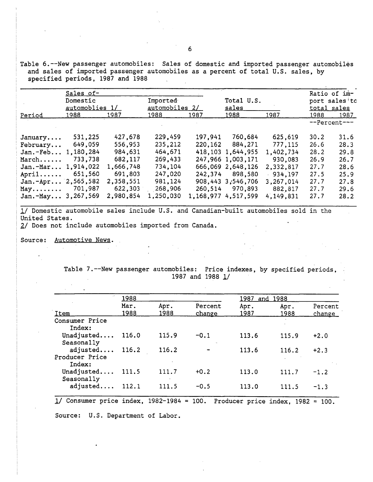Table 6.--New passenger automobiles: Sales of domestic and imported passenger automobiles and sales of imported passenger automobiles as a percent of total U.S. sales, by specified periods, 1987 and 1988  $\sim 10^7$ 

|                         | Sales of-      |           |                |         |                     |           |             | Ratio of im-           |
|-------------------------|----------------|-----------|----------------|---------|---------------------|-----------|-------------|------------------------|
|                         | Domestic       |           | Imported       |         | Total U.S.          |           |             | port sales to          |
|                         | automoblies 1/ |           | automobiles 2/ |         | <u>sales</u>        |           | total sales |                        |
| Period                  | 1988           | 1987      | 1988           | 1987    | 1988                | 1987      | 1988        | 1987                   |
|                         |                |           |                |         |                     |           |             | $-$ -Percent $-$ - $-$ |
| January                 | 531,225        | 427,678   | 229,459        | 197,941 | 760,684             | 625,619   | 30.2        | 31.6                   |
| February                | 649,059        | 556,953   | 235,212        | 220,162 | 884,271             | 777, 115  | 26.6        | 28.3                   |
| $Jan.-Feb$              | 1,180,284      | 984,631   | 464,671        |         | 418.103 1.644.955   | 1,402,734 | 28.2        | 29.8                   |
| March                   | 733,738        | 682,117   | 269,433        |         | 247,966 1,003,171   | 930.083   | 26.9        | 26.7                   |
| $Jan.-Mar$              | 1,914,022      | 1,666,748 | 734,104        |         | 666,069 2,648,126   | 2,332,817 | 27.7        | 28.6                   |
| $April \ldots$          | 651,560        | 691,803   | 247,020        | 242.374 | 898,580             | 934,197   | 27.5        | 25.9                   |
| Jan. $-Apr 2, 565, 582$ |                | 2,358,551 | 981,124        |         | 908,443 3,546,706   | 3,267,014 | 27.7        | 27.8                   |
| $May. \ldots \ldots$    | 701,987        | 622,303   | 268,906        | 260,514 | 970,893             | 882,817   | 27.7        | 29.6                   |
| $Jan.-May$              | 3,267,569      | 2,980,854 | 1,250,030      |         | 1.168.977 4.517.599 | 4.149.831 | 27.7        | 28.2                   |

, 1/ Domestic automobile sales include U.S. and Canadian-built automobiles sold in the United States.

2/ Does not include automobiles imported from Canada.

Source: Automotive News.  $\Delta \sim 10^{11}$ 

> Table 7.--New passenger automobiles: Price indexes, by specified periods, 1987 and 1988 1/

|                                              | 1988         |              |                        | <u> 1987 </u> | and 1988     |                          |  |
|----------------------------------------------|--------------|--------------|------------------------|---------------|--------------|--------------------------|--|
| Item                                         | Mar.<br>1988 | Apr.<br>1988 | Percent<br>change      | Apr.<br>1987  | Apr.<br>1988 | Percent<br><u>change</u> |  |
| Consumer Price<br>Index:                     |              |              |                        |               |              |                          |  |
| Unadjusted<br>Seasonally                     | 116.0        | 115.9        | $-0.1$<br>$\mathbf{r}$ | 113.6         | 115.9        | $+2.0$                   |  |
| adjusted $116.2$<br>Producer Price<br>Index: |              | 116.2        |                        | 113.6         | 116.2        | $+2.3$                   |  |
| Unadjusted 111.5<br>Seasonally               |              | 111.7        | $+0.2$                 | 113.0         | 111.7        | $-1.2$                   |  |
| adjusted                                     | 112.1        | 111.5        | $-0.5$                 | 113.0         | 111.5        | $-1.3$                   |  |

1/ Consumer price index, 1982-1984 = 100. Producer price index, 1982 = 100. Source: U.S. Department of Labor.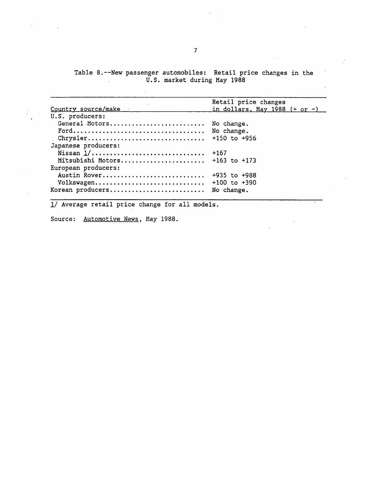Table 8.--New passenger automobiles: Retail price changes in the U.S. market during May 1988

|                                    | Retail price changes            |
|------------------------------------|---------------------------------|
| <u>Country source/make</u>         | in dollars, May 1988 $(+ or -)$ |
| U.S. producers:                    |                                 |
| General Motors No change.          |                                 |
|                                    |                                 |
|                                    |                                 |
| Japanese producers:                |                                 |
| Nissan $1/$                        | +167                            |
| Mitsubishi Motors $+163$ to $+173$ |                                 |
| European producers:                |                                 |
| Austin Rover                       | $+935$ to $+988$                |
| Volkswagen                         | $+100$ to $+390$                |
| Korean producers                   | No change.                      |
|                                    |                                 |

1/ Average retail price change for all models.

Source: Automotive News, May 1988.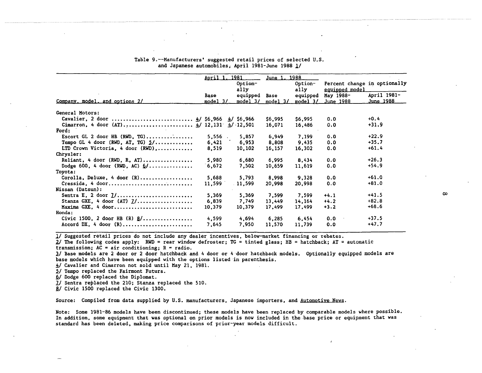|                                               | April 1    | 1981                 | June 1.         | 1988            |                                                |             |
|-----------------------------------------------|------------|----------------------|-----------------|-----------------|------------------------------------------------|-------------|
|                                               |            | Option-<br>ally      |                 | Option-<br>ally | Percent change in optionally<br>equipped model |             |
|                                               | Base       | equipped             | Base            | equipped        | May 1988-                                      | April 1981- |
| Company, model, and options 2/                | $model_3/$ | model <sub>3</sub> / | model $3\angle$ | $model$ 3/      | June 1988                                      | June 1988   |
| General Motors:                               |            |                      |                 |                 |                                                |             |
| Cavalier, 2 door $4/ $6,966 \quad 4/ $6,966$  |            |                      | \$6,995         | \$6,995         | 0.0                                            | $+0.4$      |
|                                               |            |                      | 16,071          | 16,486          | 0.0                                            | $+31.9$     |
| Ford:                                         |            |                      |                 |                 |                                                |             |
| Escort GL 2 door HB (RWD, TG)                 | $5,556$ .  | 5,857                | 6,949           | 7.199           | 0.0                                            | $+22.9$     |
| Tempo GL 4 door (RWD, AT, TG) $\frac{1}{2}$ / | 6,421      | 6,953                | 8,808           | 9,435           | 0.0                                            | $+35.7$     |
| LTD Crown Victoria. 4 door (RWD)              | 8,519      | 10,102               | 16,157          | 16,302          | 0.0                                            | $+61.4$     |
| Chrysler:                                     |            |                      |                 |                 |                                                |             |
| Reliant, 4 door (RWD, R, AT)                  | 5,980      | 6,680                | 6,995           | 8.434           | 0.0                                            | $+26.3$     |
| Dodge 600, 4 door (RWD, AC) $6/$              | 6,672      | 7,502                | 10,659          | 11,619          | 0.0                                            | $+54.9$     |
| Toyota:                                       |            |                      |                 |                 |                                                |             |
| Corolla, Deluxe, 4 door $(R)$                 | 5,688      | 5,793                | 8,998           | 9,328           | 0.0                                            | $+61.0$     |
| Cressida, 4 door                              | 11,599     | 11,599               | 20,998          | 20,998          | 0.0                                            | $+81.0$     |
| Nissan (Datsun):                              |            |                      |                 |                 |                                                |             |
| Sentra E. 2 door $1/$                         | 5,369      | 5,369                | 7.599           | 7,599           | $+4.1$                                         | $+41.5$     |
| Stanza GXE, 4 door (AT) $1/$                  | 6,839      | 7,749                | 13,449          | 14,164          | $+4.2$                                         | $+82.8$     |
| Maxima GXE, 4 door                            | 10,379     | 10,379               | 17,499          | 17,499          | $+3.2$                                         | $+68.6$     |
| Honda:                                        |            |                      |                 |                 |                                                |             |
| Civic 1500, 2 door HB $(R)$ $g/$              | 4,599      | 4.694                | 6,285           | 6.454           | 0.0                                            | $+37.5$     |
| $Accord$ DX, 4 door $(R)$                     | 7,645      | 7,950                | 11,570          | 11,739          | 0.0                                            | $+47.7$     |

#### Table 9.--Manufacturers' suggested retail prices of selected U.S. and Japanese automobiles; April 1981-June 1988 l/

l/ Suggested retail prices do not include any dealer incentives, below-market financing or rebates.

 $2$  The following codes apply: RWD = rear window defroster; TG = tinted glass; HB = hatchback; AT = automatic transmission;  $AC = air$  conditioning;  $R = radio$ .

l/ Base models are 2 door or 2 door hatchback and 4 door or 4·door hatchback models. Optionally equipped models are base models which have been equipped with the options listed in parenthesis.

 $\frac{4}{2}$  Cavalier and Cimarron not sold until May 21, 1981.<br>5/ Tempo replaced the Fairmont Futura.

*21* Dodge 600 replaced the Diplomat.

II Sentra replaced the 210; Stanza replaced the 510.

*HI* Civic 1500 replaced the Civic 1300.

Source: Compiled from data supplied by U.S. manufacturers, Japanese importers, and Automotive News.

Note: Some 1981-86 models have been discontinued; these modeis have been replaced by comparable models where possible. In addition, some equipment that was optional on prior models is now included in the base price or equipment that was standard has been deleted, making price comparisons of prior-year models difficult.

 $\lambda$